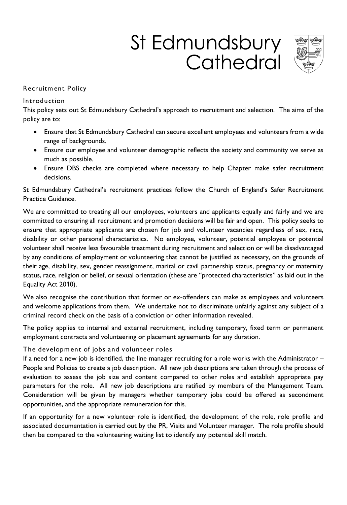# St Edmundsbury Cathedral



# **Recruitm ent Policy**

## **Introduction**

**This policy sets out St Edmundsbury Cathedral's approach to recruitment and selection. The aims of the policy are to:** 

- **Ensure that St Edmundsbury Cathedral can secure excellent employees and volunteers from a wide range of backgrounds.**
- **Ensure our employee and volunteer demographic reflects the society and community we serve as much as possible.**
- **Ensure DBS checks are completed where necessary to help Chapter make safer recruitment decisions.**

**St Edmundsbury Cathedral's recruitment practices follow the Church of England's Safer Recruitment Practice Guidance.** 

**We are committed to treating all our employees, volunteers and applicants equally and fairly and we are committed to ensuring all recruitment and promotion decisions will be fair and open. This policy seeks to ensure that appropriate applicants are chosen for job and volunteer vacancies regardless of sex, race, disability or other personal characteristics. No employee, volunteer, potential employee or potential volunteer shall receive less favourable treatment during recruitment and selection or will be disadvantaged by any conditions of employment or volunteering that cannot be justified as necessary, on the grounds of their age, disability, sex, gender reassignment, marital or cavil partnership status, pregnancy or maternity status, race, religion or belief, or sexual orientation (these are "protected characteristics" as laid out in the Equality Act 2010).** 

**We also recognise the contribution that former or ex-offenders can make as employees and volunteers and welcome applications from them. We undertake not to discriminate unfairly against any subject of a criminal record check on the basis of a conviction or other information revealed.** 

**The policy applies to internal and external recruitment, including temporary, fixed term or permanent employment contracts and volunteering or placement agreements for any duration.** 

# **The developm ent of jobs and volunteer roles**

**If a need for a new job is identified, the line manager recruiting for a role works with the Administrator – People and Policies to create a job description. All new job descriptions are taken through the process of evaluation to assess the job size and content compared to other roles and establish appropriate pay parameters for the role. All new job descriptions are ratified by members of the Management Team. Consideration will be given by managers whether temporary jobs could be offered as secondment opportunities, and the appropriate remuneration for this.**

**If an opportunity for a new volunteer role is identified, the development of the role, role profile and associated documentation is carried out by the PR, Visits and Volunteer manager. The role profile should then be compared to the volunteering waiting list to identify any potential skill match.**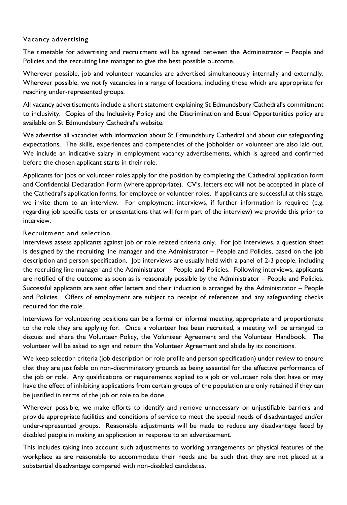# **Vacancy advertising**

The timetable for advertising and recruitment will be agreed between the Administrator - People and **Policies and the recruiting line manager to give the best possible outcome.** 

**Wherever possible, job and volunteer vacancies are advertised simultaneously internally and externally. Wherever possible, we notify vacancies in a range of locations, including those which are appropriate for reaching under-represented groups.**

**All vacancy advertisements include a short statement explaining St Edmundsbury Cathedral's commitment to inclusivity. Copies of the Inclusivity Policy and the Discrimination and Equal Opportunities policy are available on St Edmundsbury Cathedral's website.**

**We advertise all vacancies with information about St Edmundsbury Cathedral and about our safeguarding expectations. The skills, experiences and competencies of the jobholder or volunteer are also laid out. We include an indicative salary in employment vacancy advertisements, which is agreed and confirmed before the chosen applicant starts in their role.** 

**Applicants for jobs or volunteer roles apply for the position by completing the Cathedral application form and Confidential Declaration Form (where appropriate). CV's, letters etc will not be accepted in place of the Cathedral's application forms, for employee or volunteer roles. If applicants are successful at this stage, we invite them to an interview. For employment interviews, if further information is required (e.g. regarding job specific tests or presentations that will form part of the interview) we provide this prior to interview.** 

### **Recruitm ent and selection**

**Interviews assess applicants against job or role related criteria only. For job interviews, a question sheet is designed by the recruiting line manager and the Administrator – People and Policies, based on the job description and person specification. Job interviews are usually held with a panel of 2-3 people, including the recruiting line manager and the Administrator – People and Policies. Following interviews, applicants**  are notified of the outcome as soon as is reasonably possible by the Administrator – People and Policies. **Successful applicants are sent offer letters and their induction is arranged by the Administrator – People and Policies. Offers of employment are subject to receipt of references and any safeguarding checks required for the role.** 

**Interviews for volunteering positions can be a formal or informal meeting, appropriate and proportionate to the role they are applying for. Once a volunteer has been recruited, a meeting will be arranged to discuss and share the Volunteer Policy, the Volunteer Agreement and the Volunteer Handbook. The volunteer will be asked to sign and return the Volunteer Agreement and abide by its conditions.** 

**We keep selection criteria (job description or role profile and person specification) under review to ensure that they are justifiable on non-discriminatory grounds as being essential for the effective performance of the job or role. Any qualifications or requirements applied to a job or volunteer role that have or may have the effect of inhibiting applications from certain groups of the population are only retained if they can be justified in terms of the job or role to be done.** 

**Wherever possible, we make efforts to identify and remove unnecessary or unjustifiable barriers and provide appropriate facilities and conditions of service to meet the special needs of disadvantaged and/or under-represented groups. Reasonable adjustments will be made to reduce any disadvantage faced by disabled people in making an application in response to an advertisement.** 

**This includes taking into account such adjustments to working arrangements or physical features of the workplace as are reasonable to accommodate their needs and be such that they are not placed at a substantial disadvantage compared with non-disabled candidates.**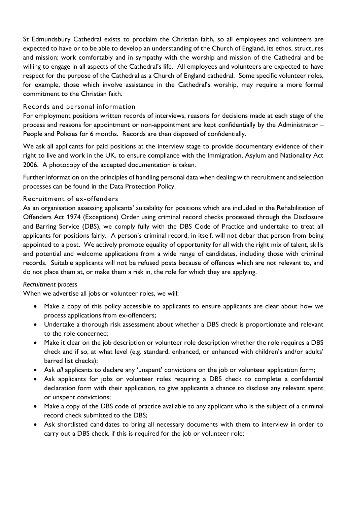**St Edmundsbury Cathedral exists to proclaim the Christian faith, so all employees and volunteers are expected to have or to be able to develop an understanding of the Church of England, its ethos, structures and mission; work comfortably and in sympathy with the worship and mission of the Cathedral and be willing to engage in all aspects of the Cathedral's life. All employees and volunteers are expected to have respect for the purpose of the Cathedral as a Church of England cathedral. Some specific volunteer roles, for example, those which involve assistance in the Cathedral's worship, may require a more formal commitment to the Christian faith.** 

## **Records and personal inform ation**

**For employment positions written records of interviews, reasons for decisions made at each stage of the process and reasons for appointment or non-appointment are kept confidentially by the Administrator – People and Policies for 6 months. Records are then disposed of confidentially.** 

**We ask all applicants for paid positions at the interview stage to provide documentary evidence of their right to live and work in the UK, to ensure compliance with the Immigration, Asylum and Nationality Act 2006. A photocopy of the accepted documentation is taken.** 

**Further information on the principles of handling personal data when dealing with recruitment and selection processes can be found in the Data Protection Policy.** 

## **Recruitm ent of ex-offenders**

**As an organisation assessing applicants' suitability for positions which are included in the Rehabilitation of Offenders Act 1974 (Exceptions) Order using criminal record checks processed through the Disclosure and Barring Service (DBS), we comply fully with the DBS Code of Practice and undertake to treat all applicants for positions fairly. A person's criminal record, in itself, will not debar that person from being appointed to a post. We actively promote equality of opportunity for all with the right mix of talent, skills and potential and welcome applications from a wide range of candidates, including those with criminal records. Suitable applicants will not be refused posts because of offences which are not relevant to, and do not place them at, or make them a risk in, the role for which they are applying.** 

### *Recruitment process*

**When we advertise all jobs or volunteer roles, we will:** 

- **Make a copy of this policy accessible to applicants to ensure applicants are clear about how we process applications from ex-offenders;**
- **Undertake a thorough risk assessment about whether a DBS check is proportionate and relevant to the role concerned;**
- **Make it clear on the job description or volunteer role description whether the role requires a DBS check and if so, at what level (e.g. standard, enhanced, or enhanced with children's and/or adults' barred list checks);**
- **Ask** *all* **applicants to declare any 'unspent' convictions on the job or volunteer application form;**
- **Ask applicants for jobs or volunteer roles requiring a DBS check to complete a confidential declaration form with their application, to give applicants a chance to disclose any relevant spent or unspent convictions;**
- **Make a copy of the DBS code of practice available to any applicant who is the subject of a criminal record check submitted to the DBS;**
- **Ask shortlisted candidates to bring all necessary documents with them to interview in order to carry out a DBS check, if this is required for the job or volunteer role;**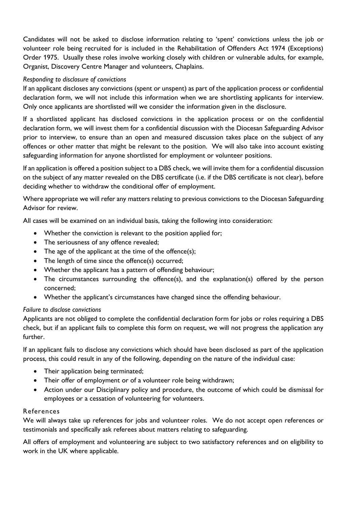**Candidates will not be asked to disclose information relating to 'spent' convictions unless the job or volunteer role being recruited for is included in the Rehabilitation of Offenders Act 1974 (Exceptions) Order 1975. Usually these roles involve working closely with children or vulnerable adults, for example, Organist, Discovery Centre Manager and volunteers, Chaplains.** 

# *Responding to disclosure of convictions*

**If an applicant discloses any convictions (spent or unspent) as part of the application process or confidential declaration form, we will not include this information when we are shortlisting applicants for interview. Only once applicants are shortlisted will we consider the information given in the disclosure.** 

**If a shortlisted applicant has disclosed convictions in the application process or on the confidential declaration form, we will invest them for a confidential discussion with the Diocesan Safeguarding Advisor prior to interview, to ensure than an open and measured discussion takes place on the subject of any offences or other matter that might be relevant to the position. We will also take into account existing safeguarding information for anyone shortlisted for employment or volunteer positions.** 

**If an application is offered a position subject to a DBS check, we will invite them for a confidential discussion on the subject of any matter revealed on the DBS certificate (i.e. if the DBS certificate is not clear), before deciding whether to withdraw the conditional offer of employment.** 

**Where appropriate we will refer any matters relating to previous convictions to the Diocesan Safeguarding Advisor for review.** 

**All cases will be examined on an individual basis, taking the following into consideration:**

- **Whether the conviction is relevant to the position applied for;**
- **The seriousness of any offence revealed;**
- **The age of the applicant at the time of the offence(s);**
- **The length of time since the offence(s) occurred;**
- **Whether the applicant has a pattern of offending behaviour;**
- **The circumstances surrounding the offence(s), and the explanation(s) offered by the person concerned;**
- **Whether the applicant's circumstances have changed since the offending behaviour.**

### *Failure to disclose convictions*

**Applicants are not obliged to complete the confidential declaration form for jobs or roles requiring a DBS check, but if an applicant fails to complete this form on request, we will not progress the application any further.**

**If an applicant fails to disclose any convictions which should have been disclosed as part of the application process, this could result in any of the following, depending on the nature of the individual case:**

- **Their application being terminated;**
- **Their offer of employment or of a volunteer role being withdrawn;**
- **Action under our Disciplinary policy and procedure, the outcome of which could be dismissal for employees or a cessation of volunteering for volunteers.**

### **References**

**We will always take up references for jobs and volunteer roles. We do not accept open references or testimonials and specifically ask referees about matters relating to safeguarding.** 

**All offers of employment and volunteering are subject to two satisfactory references and on eligibility to work in the UK where applicable.**